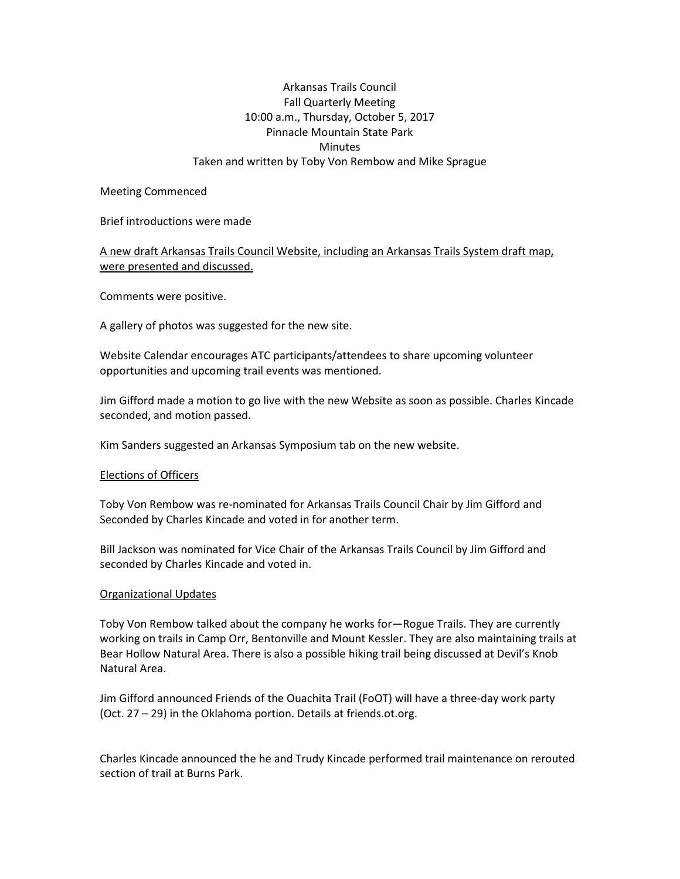# Arkansas Trails Council Fall Quarterly Meeting 10:00 a.m., Thursday, October 5, 2017 Pinnacle Mountain State Park **Minutes** Taken and written by Toby Von Rembow and Mike Sprague

#### Meeting Commenced

#### Brief introductions were made

# A new draft Arkansas Trails Council Website, including an Arkansas Trails System draft map, were presented and discussed.

Comments were positive.

A gallery of photos was suggested for the new site.

Website Calendar encourages ATC participants/attendees to share upcoming volunteer opportunities and upcoming trail events was mentioned.

Jim Gifford made a motion to go live with the new Website as soon as possible. Charles Kincade seconded, and motion passed.

Kim Sanders suggested an Arkansas Symposium tab on the new website.

## Elections of Officers

Toby Von Rembow was re-nominated for Arkansas Trails Council Chair by Jim Gifford and Seconded by Charles Kincade and voted in for another term.

Bill Jackson was nominated for Vice Chair of the Arkansas Trails Council by Jim Gifford and seconded by Charles Kincade and voted in.

## Organizational Updates

Toby Von Rembow talked about the company he works for—Rogue Trails. They are currently working on trails in Camp Orr, Bentonville and Mount Kessler. They are also maintaining trails at Bear Hollow Natural Area. There is also a possible hiking trail being discussed at Devil's Knob Natural Area.

Jim Gifford announced Friends of the Ouachita Trail (FoOT) will have a three-day work party (Oct. 27 – 29) in the Oklahoma portion. Details at friends.ot.org.

Charles Kincade announced the he and Trudy Kincade performed trail maintenance on rerouted section of trail at Burns Park.